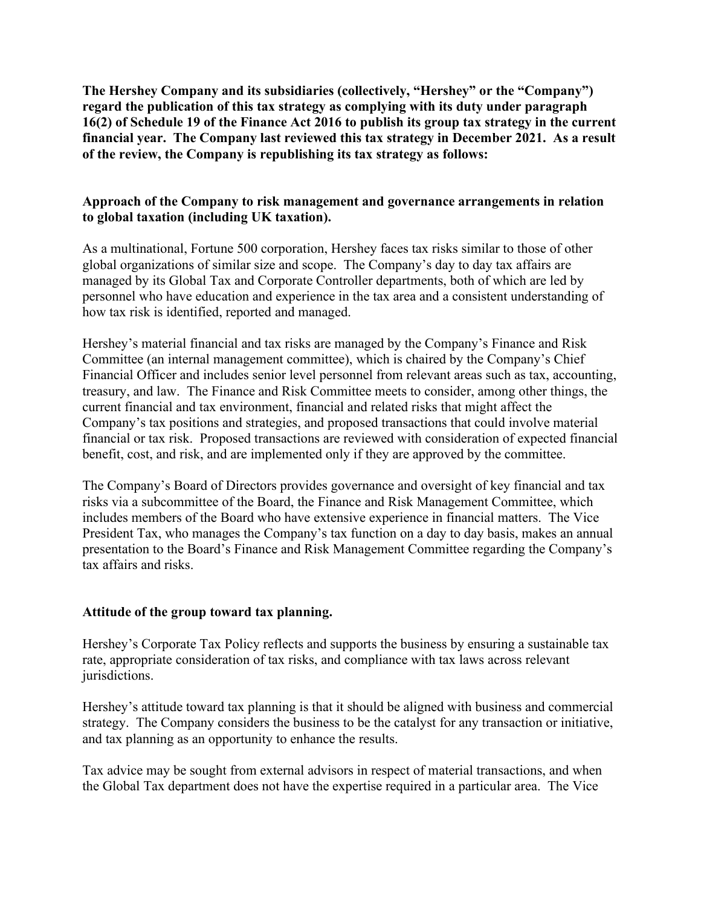**The Hershey Company and its subsidiaries (collectively, "Hershey" or the "Company") regard the publication of this tax strategy as complying with its duty under paragraph 16(2) of Schedule 19 of the Finance Act 2016 to publish its group tax strategy in the current financial year. The Company last reviewed this tax strategy in December 2021. As a result of the review, the Company is republishing its tax strategy as follows:**

## **Approach of the Company to risk management and governance arrangements in relation to global taxation (including UK taxation).**

As a multinational, Fortune 500 corporation, Hershey faces tax risks similar to those of other global organizations of similar size and scope. The Company's day to day tax affairs are managed by its Global Tax and Corporate Controller departments, both of which are led by personnel who have education and experience in the tax area and a consistent understanding of how tax risk is identified, reported and managed.

Hershey's material financial and tax risks are managed by the Company's Finance and Risk Committee (an internal management committee), which is chaired by the Company's Chief Financial Officer and includes senior level personnel from relevant areas such as tax, accounting, treasury, and law. The Finance and Risk Committee meets to consider, among other things, the current financial and tax environment, financial and related risks that might affect the Company's tax positions and strategies, and proposed transactions that could involve material financial or tax risk. Proposed transactions are reviewed with consideration of expected financial benefit, cost, and risk, and are implemented only if they are approved by the committee.

The Company's Board of Directors provides governance and oversight of key financial and tax risks via a subcommittee of the Board, the Finance and Risk Management Committee, which includes members of the Board who have extensive experience in financial matters. The Vice President Tax, who manages the Company's tax function on a day to day basis, makes an annual presentation to the Board's Finance and Risk Management Committee regarding the Company's tax affairs and risks.

## **Attitude of the group toward tax planning.**

Hershey's Corporate Tax Policy reflects and supports the business by ensuring a sustainable tax rate, appropriate consideration of tax risks, and compliance with tax laws across relevant jurisdictions.

Hershey's attitude toward tax planning is that it should be aligned with business and commercial strategy. The Company considers the business to be the catalyst for any transaction or initiative, and tax planning as an opportunity to enhance the results.

Tax advice may be sought from external advisors in respect of material transactions, and when the Global Tax department does not have the expertise required in a particular area. The Vice